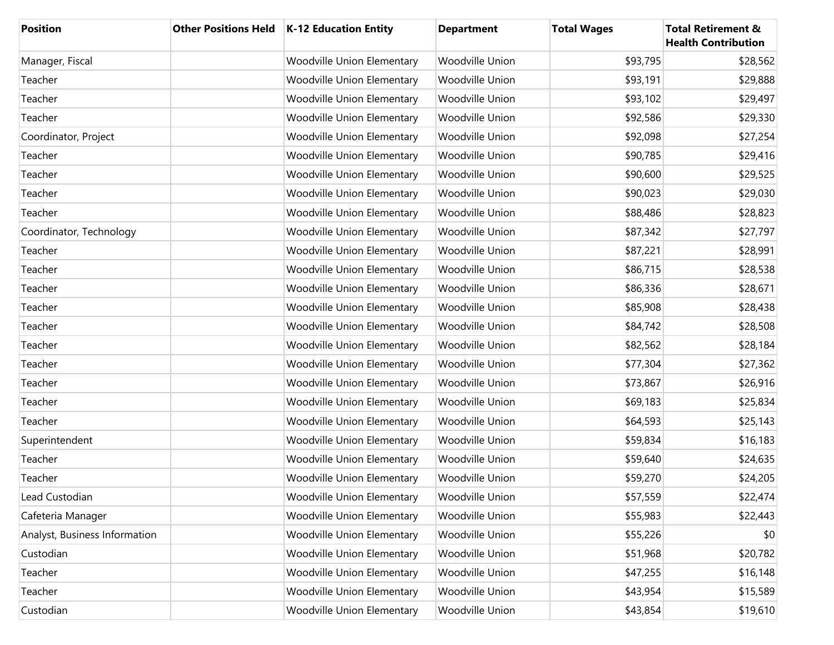| <b>Position</b>               | <b>Other Positions Held</b> | <b>K-12 Education Entity</b>      | <b>Department</b>      | <b>Total Wages</b> | <b>Total Retirement &amp;</b><br><b>Health Contribution</b> |
|-------------------------------|-----------------------------|-----------------------------------|------------------------|--------------------|-------------------------------------------------------------|
| Manager, Fiscal               |                             | <b>Woodville Union Elementary</b> | <b>Woodville Union</b> | \$93,795           | \$28,562                                                    |
| Teacher                       |                             | <b>Woodville Union Elementary</b> | Woodville Union        | \$93,191           | \$29,888                                                    |
| Teacher                       |                             | <b>Woodville Union Elementary</b> | <b>Woodville Union</b> | \$93,102           | \$29,497                                                    |
| Teacher                       |                             | <b>Woodville Union Elementary</b> | Woodville Union        | \$92,586           | \$29,330                                                    |
| Coordinator, Project          |                             | <b>Woodville Union Elementary</b> | <b>Woodville Union</b> | \$92,098           | \$27,254                                                    |
| Teacher                       |                             | <b>Woodville Union Elementary</b> | Woodville Union        | \$90,785           | \$29,416                                                    |
| Teacher                       |                             | <b>Woodville Union Elementary</b> | <b>Woodville Union</b> | \$90,600           | \$29,525                                                    |
| Teacher                       |                             | <b>Woodville Union Elementary</b> | Woodville Union        | \$90,023           | \$29,030                                                    |
| Teacher                       |                             | <b>Woodville Union Elementary</b> | <b>Woodville Union</b> | \$88,486           | \$28,823                                                    |
| Coordinator, Technology       |                             | <b>Woodville Union Elementary</b> | Woodville Union        | \$87,342           | \$27,797                                                    |
| Teacher                       |                             | <b>Woodville Union Elementary</b> | <b>Woodville Union</b> | \$87,221           | \$28,991                                                    |
| Teacher                       |                             | <b>Woodville Union Elementary</b> | Woodville Union        | \$86,715           | \$28,538                                                    |
| Teacher                       |                             | <b>Woodville Union Elementary</b> | <b>Woodville Union</b> | \$86,336           | \$28,671                                                    |
| Teacher                       |                             | <b>Woodville Union Elementary</b> | Woodville Union        | \$85,908           | \$28,438                                                    |
| Teacher                       |                             | <b>Woodville Union Elementary</b> | <b>Woodville Union</b> | \$84,742           | \$28,508                                                    |
| Teacher                       |                             | <b>Woodville Union Elementary</b> | Woodville Union        | \$82,562           | \$28,184                                                    |
| Teacher                       |                             | <b>Woodville Union Elementary</b> | <b>Woodville Union</b> | \$77,304           | \$27,362                                                    |
| Teacher                       |                             | <b>Woodville Union Elementary</b> | Woodville Union        | \$73,867           | \$26,916                                                    |
| Teacher                       |                             | <b>Woodville Union Elementary</b> | <b>Woodville Union</b> | \$69,183           | \$25,834                                                    |
| Teacher                       |                             | <b>Woodville Union Elementary</b> | Woodville Union        | \$64,593           | \$25,143                                                    |
| Superintendent                |                             | <b>Woodville Union Elementary</b> | Woodville Union        | \$59,834           | \$16,183                                                    |
| Teacher                       |                             | <b>Woodville Union Elementary</b> | Woodville Union        | \$59,640           | \$24,635                                                    |
| Teacher                       |                             | <b>Woodville Union Elementary</b> | Woodville Union        | \$59,270           | \$24,205                                                    |
| Lead Custodian                |                             | Woodville Union Elementary        | Woodville Union        | \$57,559           | \$22,474                                                    |
| Cafeteria Manager             |                             | <b>Woodville Union Elementary</b> | Woodville Union        | \$55,983           | \$22,443                                                    |
| Analyst, Business Information |                             | <b>Woodville Union Elementary</b> | Woodville Union        | \$55,226           | \$0                                                         |
| Custodian                     |                             | <b>Woodville Union Elementary</b> | Woodville Union        | \$51,968           | \$20,782                                                    |
| Teacher                       |                             | <b>Woodville Union Elementary</b> | Woodville Union        | \$47,255           | \$16,148                                                    |
| Teacher                       |                             | <b>Woodville Union Elementary</b> | Woodville Union        | \$43,954           | \$15,589                                                    |
| Custodian                     |                             | <b>Woodville Union Elementary</b> | Woodville Union        | \$43,854           | \$19,610                                                    |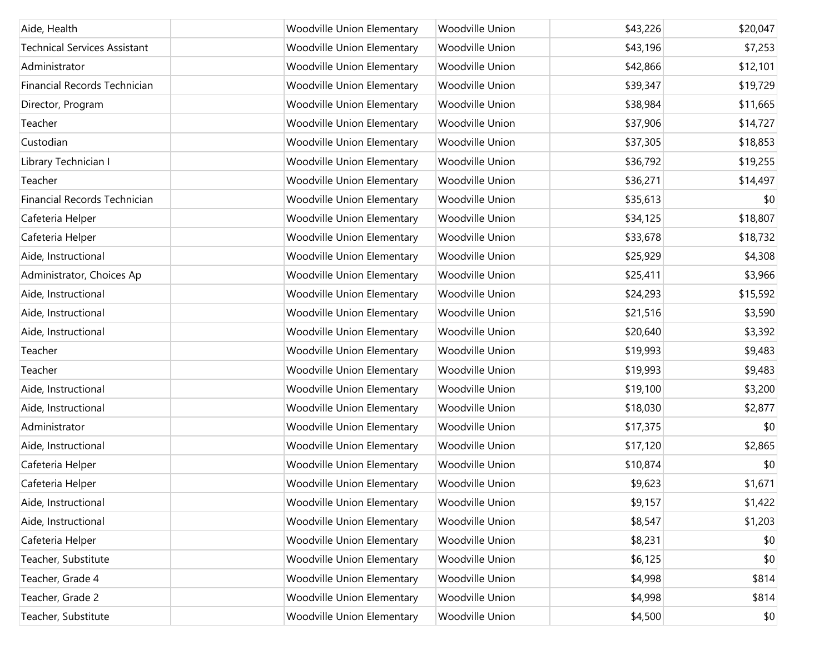| Aide, Health                        | <b>Woodville Union Elementary</b> | Woodville Union | \$43,226 | \$20,047 |
|-------------------------------------|-----------------------------------|-----------------|----------|----------|
| <b>Technical Services Assistant</b> | <b>Woodville Union Elementary</b> | Woodville Union | \$43,196 | \$7,253  |
| Administrator                       | <b>Woodville Union Elementary</b> | Woodville Union | \$42,866 | \$12,101 |
| Financial Records Technician        | <b>Woodville Union Elementary</b> | Woodville Union | \$39,347 | \$19,729 |
| Director, Program                   | <b>Woodville Union Elementary</b> | Woodville Union | \$38,984 | \$11,665 |
| Teacher                             | <b>Woodville Union Elementary</b> | Woodville Union | \$37,906 | \$14,727 |
| Custodian                           | <b>Woodville Union Elementary</b> | Woodville Union | \$37,305 | \$18,853 |
| Library Technician I                | <b>Woodville Union Elementary</b> | Woodville Union | \$36,792 | \$19,255 |
| Teacher                             | <b>Woodville Union Elementary</b> | Woodville Union | \$36,271 | \$14,497 |
| Financial Records Technician        | <b>Woodville Union Elementary</b> | Woodville Union | \$35,613 | \$0      |
| Cafeteria Helper                    | <b>Woodville Union Elementary</b> | Woodville Union | \$34,125 | \$18,807 |
| Cafeteria Helper                    | <b>Woodville Union Elementary</b> | Woodville Union | \$33,678 | \$18,732 |
| Aide, Instructional                 | <b>Woodville Union Elementary</b> | Woodville Union | \$25,929 | \$4,308  |
| Administrator, Choices Ap           | <b>Woodville Union Elementary</b> | Woodville Union | \$25,411 | \$3,966  |
| Aide, Instructional                 | <b>Woodville Union Elementary</b> | Woodville Union | \$24,293 | \$15,592 |
| Aide, Instructional                 | <b>Woodville Union Elementary</b> | Woodville Union | \$21,516 | \$3,590  |
| Aide, Instructional                 | <b>Woodville Union Elementary</b> | Woodville Union | \$20,640 | \$3,392  |
| Teacher                             | <b>Woodville Union Elementary</b> | Woodville Union | \$19,993 | \$9,483  |
| Teacher                             | <b>Woodville Union Elementary</b> | Woodville Union | \$19,993 | \$9,483  |
| Aide, Instructional                 | <b>Woodville Union Elementary</b> | Woodville Union | \$19,100 | \$3,200  |
| Aide, Instructional                 | <b>Woodville Union Elementary</b> | Woodville Union | \$18,030 | \$2,877  |
| Administrator                       | <b>Woodville Union Elementary</b> | Woodville Union | \$17,375 | \$0      |
| Aide, Instructional                 | <b>Woodville Union Elementary</b> | Woodville Union | \$17,120 | \$2,865  |
| Cafeteria Helper                    | <b>Woodville Union Elementary</b> | Woodville Union | \$10,874 | \$0      |
| Cafeteria Helper                    | <b>Woodville Union Elementary</b> | Woodville Union | \$9,623  | \$1,671  |
| Aide, Instructional                 | <b>Woodville Union Elementary</b> | Woodville Union | \$9,157  | \$1,422  |
| Aide, Instructional                 | <b>Woodville Union Elementary</b> | Woodville Union | \$8,547  | \$1,203  |
| Cafeteria Helper                    | <b>Woodville Union Elementary</b> | Woodville Union | \$8,231  | \$0      |
| Teacher, Substitute                 | <b>Woodville Union Elementary</b> | Woodville Union | \$6,125  | \$0      |
| Teacher, Grade 4                    | <b>Woodville Union Elementary</b> | Woodville Union | \$4,998  | \$814    |
| Teacher, Grade 2                    | <b>Woodville Union Elementary</b> | Woodville Union | \$4,998  | \$814    |
| Teacher, Substitute                 | <b>Woodville Union Elementary</b> | Woodville Union | \$4,500  | \$0      |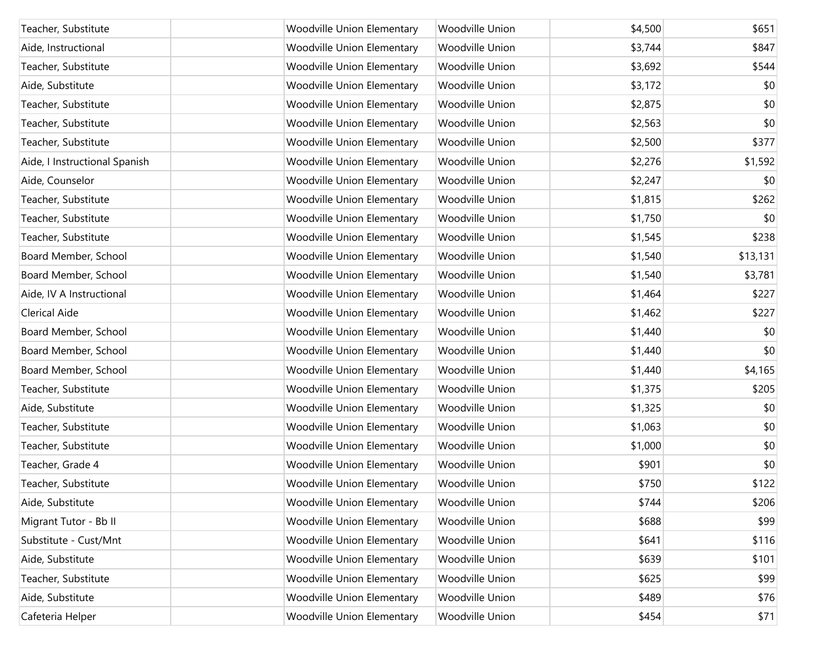| Teacher, Substitute           | <b>Woodville Union Elementary</b> | Woodville Union | \$4,500 | \$651    |
|-------------------------------|-----------------------------------|-----------------|---------|----------|
| Aide, Instructional           | <b>Woodville Union Elementary</b> | Woodville Union | \$3,744 | \$847    |
| Teacher, Substitute           | <b>Woodville Union Elementary</b> | Woodville Union | \$3,692 | \$544    |
| Aide, Substitute              | <b>Woodville Union Elementary</b> | Woodville Union | \$3,172 | \$0      |
| Teacher, Substitute           | <b>Woodville Union Elementary</b> | Woodville Union | \$2,875 | \$0      |
| Teacher, Substitute           | <b>Woodville Union Elementary</b> | Woodville Union | \$2,563 | \$0      |
| Teacher, Substitute           | <b>Woodville Union Elementary</b> | Woodville Union | \$2,500 | \$377    |
| Aide, I Instructional Spanish | <b>Woodville Union Elementary</b> | Woodville Union | \$2,276 | \$1,592  |
| Aide, Counselor               | <b>Woodville Union Elementary</b> | Woodville Union | \$2,247 | \$0      |
| Teacher, Substitute           | <b>Woodville Union Elementary</b> | Woodville Union | \$1,815 | \$262    |
| Teacher, Substitute           | <b>Woodville Union Elementary</b> | Woodville Union | \$1,750 | \$0      |
| Teacher, Substitute           | <b>Woodville Union Elementary</b> | Woodville Union | \$1,545 | \$238    |
| Board Member, School          | <b>Woodville Union Elementary</b> | Woodville Union | \$1,540 | \$13,131 |
| Board Member, School          | <b>Woodville Union Elementary</b> | Woodville Union | \$1,540 | \$3,781  |
| Aide, IV A Instructional      | <b>Woodville Union Elementary</b> | Woodville Union | \$1,464 | \$227    |
| <b>Clerical Aide</b>          | <b>Woodville Union Elementary</b> | Woodville Union | \$1,462 | \$227    |
| Board Member, School          | <b>Woodville Union Elementary</b> | Woodville Union | \$1,440 | \$0      |
| Board Member, School          | <b>Woodville Union Elementary</b> | Woodville Union | \$1,440 | \$0      |
| Board Member, School          | <b>Woodville Union Elementary</b> | Woodville Union | \$1,440 | \$4,165  |
| Teacher, Substitute           | <b>Woodville Union Elementary</b> | Woodville Union | \$1,375 | \$205    |
| Aide, Substitute              | <b>Woodville Union Elementary</b> | Woodville Union | \$1,325 | \$0      |
| Teacher, Substitute           | <b>Woodville Union Elementary</b> | Woodville Union | \$1,063 | \$0      |
| Teacher, Substitute           | <b>Woodville Union Elementary</b> | Woodville Union | \$1,000 | \$0      |
| Teacher, Grade 4              | <b>Woodville Union Elementary</b> | Woodville Union | \$901   | \$0      |
| Teacher, Substitute           | Woodville Union Elementary        | Woodville Union | \$750   | \$122    |
| Aide, Substitute              | <b>Woodville Union Elementary</b> | Woodville Union | \$744   | \$206    |
| Migrant Tutor - Bb II         | <b>Woodville Union Elementary</b> | Woodville Union | \$688   | \$99     |
| Substitute - Cust/Mnt         | <b>Woodville Union Elementary</b> | Woodville Union | \$641   | \$116    |
| Aide, Substitute              | <b>Woodville Union Elementary</b> | Woodville Union | \$639   | \$101    |
| Teacher, Substitute           | <b>Woodville Union Elementary</b> | Woodville Union | \$625   | \$99     |
| Aide, Substitute              | <b>Woodville Union Elementary</b> | Woodville Union | \$489   | \$76     |
| Cafeteria Helper              | <b>Woodville Union Elementary</b> | Woodville Union | \$454   | \$71     |